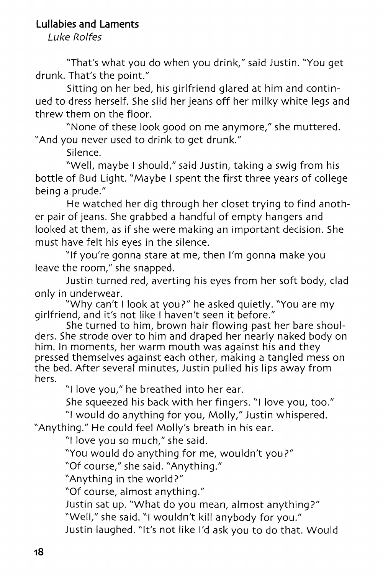## **Lullabies and Laments**

Luke Rolfes

'That's what you do when you drink/' said Justin. "You get drunk. That's the point."

Sitting on her bed, his girlfriend glared at him and continued to dress herself. She slid her jeans off her milky white legs and threw them on the floor.

"None of these look good on me anymore," she muttered. "And you never used to drink to get drunk."

Silence.

"Well, maybe I should," said Justin, taking a swig from his bottle of Bud Light. "Maybe I spent the first three years of college being a prude."

He watched her dig through her closet trying to find another pair of jeans. She grabbed a handful of empty hangers and looked at them, as if she were making an important decision. She must have felt his eyes in the silence.

"If you're gonna stare at me, then I'm gonna make you leave the room," she snapped.

Justin turned red, averting his eyes from her soft body, clad only in underwear.

"Why can't I look at you?" he asked quietly. "You are my girlfriend, and it's not like I haven't seen it before."

She turned to him, brown hair flowing past her bare shoulders. She strode over to him and draped her nearly naked body on him. In moments, her warm mouth was against his and they pressed themselves against each other, making a tangled mess on the bed. After several minutes, Justin pulled his lips away from hers.

"I love you," he breathed into her ear.

She squeezed his back with her fingers. "I love you, too."

"I would do anything for you, Molly," Justin whispered.

"Anything." He could feel Molly's breath in his ear.

"I love you so much," she said.

"You would do anything for me, wouldn't you?"

"Of course," she said. "Anything."

"Anything in the world?"

"Of course, almost anything."

Justin sat up. "What do you mean, almost anything?" "Well," she said. "I wouldn't kill anybody for you."

Justin laughed. "It's not like I'd ask you to do that. Would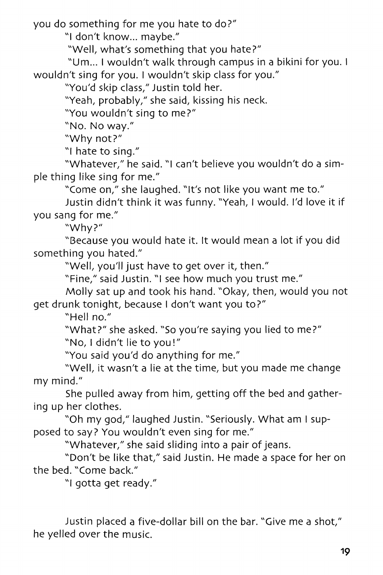you do something for me you hate to do?"

"I don't know... maybe."

"Well, what's something that you hate?"

"Um... I wouldn't walk through campus in a bikini for you. I wouldn't sing for you. I wouldn't skip class for you."

"You'd skip class," Justin told her.

"Yeah, probably," she said, kissing his neck.

"You wouldn't sing to me?"

"No. No way."

"Why not?"

"I hate to sing."

"Whatever," he said. "I can't believe you wouldn't do a simple thing like sing for me."

"Come on," she laughed. "It's not like you want me to."

Justin didn't think it was funny. "Yeah, I would. I'd love it if you sang for me."

"Why?"

"Because you would hate it. It would mean a lot if you did something you hated."

"Well, you'll just have to get over it, then."

"Fine," said Justin. "I see how much you trust me."

Molly sat up and took his hand. "Okay, then, would you not get drunk tonight, because I don't want you to?"

"Hell no."

"What?" she asked. "So you're saying you lied to me?"

"No, I didn't lie to you!"

"You said you'd do anything for me."

"Well, it wasn't a lie at the time, but you made me change my mind."

She pulled away from him, getting off the bed and gathering up her clothes.

"Oh my god," laughed Justin. "Seriously. What am I supposed to say? You wouldn't even sing for me."

"Whatever," she said sliding into a pair of jeans.

"Don't be like that," said Justin. He made a space for her on the bed. "Come back."

"I gotta get ready."

Justin placed a five-dollar bill on the bar. "Give me a shot," he yelled over the music.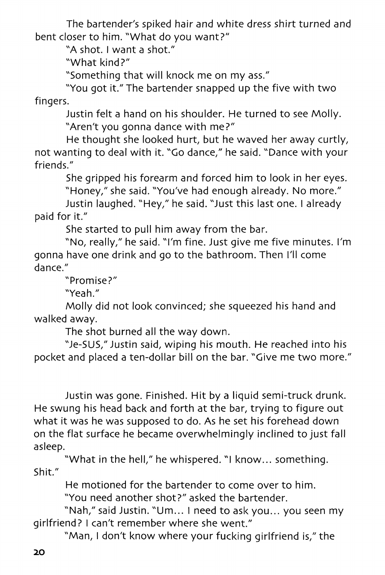The bartender's spiked hair and white dress shirt turned and bent closer to him. "What do you want?"

"A shot. I want a shot."

"What kind?"

"Something that will knock me on my ass."

"You got it." The bartender snapped up the five with two fingers.

Justin felt a hand on his shoulder. He turned to see Molly. "Aren't you gonna dance with me?"

He thought she looked hurt, but he waved her away curtly, not wanting to deal with it. "Go dance," he said. "Dance with your friends."

She gripped his forearm and forced him to look in her eyes.

"Honey," she said. "You've had enough already. No more."

Justin laughed. "Hey," he said. "Just this last one. I already paid for it."

She started to pull him away from the bar.

"No, really," he said. "I'm fine. Just give me five minutes. I'm gonna have one drink and go to the bathroom. Then I'll come dance."

"Promise?"

"Yeah."

Molly did not look convinced; she squeezed his hand and walked away.

The shot burned all the way down.

"Je-SUS," Justin said, wiping his mouth. He reached into his pocket and placed a ten-dollar bill on the bar. "Give me two more."

Justin was gone. Finished. Hit by a liquid semi-truck drunk. He swung his head back and forth at the bar, trying to figure out what it was he was supposed to do. As he set his forehead down on the flat surface he became overwhelmingly inclined to just fall asleep.

"What in the hell," he whispered. "I know... something. Shit."

He motioned for the bartender to come over to him.

"You need another shot?" asked the bartender.

"Nah," said Justin. "Um... I need to ask you... you seen my girlfriend? I can't remember where she went."

"Man, I don't know where your fucking girlfriend is," the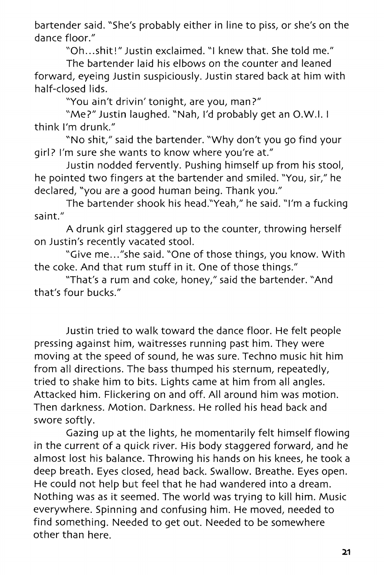bartender said. "She's probably either in line to piss, or she's on the dance floor."

"Oh...shit!" Justin exclaimed. "I knew that. She told me."

The bartender laid his elbows on the counter and leaned forward, eyeing Justin suspiciously. Justin stared back at him with half-closed lids.

"You ain't drivin' tonight, are you, man?"

"Me?" Justin laughed. "Nah, I'd probably get an O.W.I. I think I'm drunk."

"No shit," said the bartender. "Why don't you go find your girl? I'm sure she wants to know where you're at."

Justin nodded fervently. Pushing himself up from his stool, he pointed two fingers at the bartender and smiled. "You, sir," he declared, "you are a good human being. Thank you."

The bartender shook his head."Yeah," he said. "I'm a fucking saint."

A drunk girl staggered up to the counter, throwing herself on Justin's recently vacated stool.

"Give me..."she said. "One of those things, you know. With the coke. And that rum stuff in it. One of those things."

"That's a rum and coke, honey," said the bartender. "And that's four bucks."

Justin tried to walk toward the dance floor. He felt people pressing against him, waitresses running past him. They were moving at the speed of sound, he was sure. Techno music hit him from all directions. The bass thumped his sternum, repeatedly, tried to shake him to bits. Lights came at him from all angles. Attacked him. Flickering on and off. All around him was motion. Then darkness. Motion. Darkness. He rolled his head back and swore softly.

Gazing up at the lights, he momentarily felt himself flowing in the current of a quick river. His body staggered forward, and he almost lost his balance. Throwing his hands on his knees, he took a deep breath. Eyes closed, head back. Swallow. Breathe. Eyes open. He could not help but feel that he had wandered into a dream. Nothing was as it seemed. The world was trying to kill him. Music everywhere. Spinning and confusing him. He moved, needed to find something. Needed to get out. Needed to be somewhere other than here.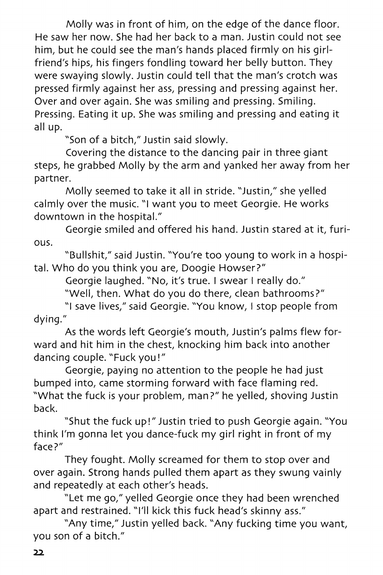Molly was in front of him, on the edge of the dance floor. He saw her now. She had her back to a man. Justin could not see him, but he could see the man's hands placed firmly on his girlfriend's hips, his fingers fondling toward her belly button. They were swaying slowly. Justin could tell that the man's crotch was pressed firmly against her ass, pressing and pressing against her. Over and over again. She was smiling and pressing. Smiling. Pressing. Eating it up. She was smiling and pressing and eating it all up.

"Son of a bitch," Justin said slowly.

Covering the distance to the dancing pair in three giant steps, he grabbed Molly by the arm and yanked her away from her partner.

Molly seemed to take it all in stride. "Justin," she yelled calmly over the music. "I want you to meet Georgie. He works downtown in the hospital."

Georgie smiled and offered his hand. Justin stared at it, furious.

"Bullshit," said Justin. "You're too young to work in a hospital. Who do you think you are, Doogie Howser?"

Georgie laughed. "No, it's true. I swear I really do."

"Well, then. What do you do there, clean bathrooms?"

"I save lives," said Georgie. "You know, I stop people from dying."

As the words left Georgie's mouth, Justin's palms flew forward and hit him in the chest, knocking him back into another dancing couple. "Fuck you!"

Georgie, paying no attention to the people he had just bumped into, came storming forward with face flaming red. "What the fuck is your problem, man?" he yelled, shoving Justin back.

"Shut the fuck up!" Justin tried to push Georgie again. "You think I'm gonna let you dance-fuck my girl right in front of my face?"

They fought. Molly screamed for them to stop over and over again. Strong hands pulled them apart as they swung vainly and repeatedly at each other's heads.

"Let me go," yelled Georgie once they had been wrenched apart and restrained. "I'll kick this fuck head's skinny ass."

"Any time," Justin yelled back. "Any fucking time you want, you son of a bitch."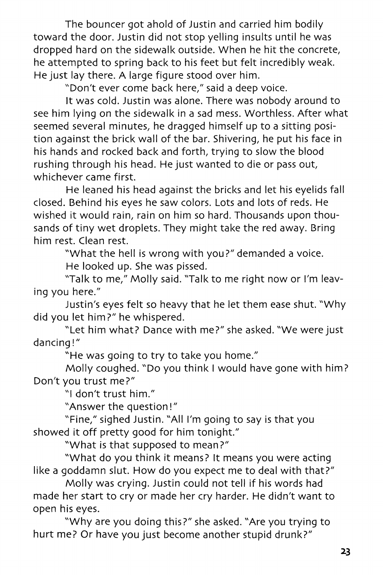The bouncer got ahold of Justin and carried him bodily toward the door. Justin did not stop yelling insults until he was dropped hard on the sidewalk outside. When he hit the concrete, he attempted to spring back to his feet but felt incredibly weak. He just lay there. A large figure stood over him.

"Don't ever come back here," said a deep voice.

It was cold. Justin was alone. There was nobody around to see him lying on the sidewalk in a sad mess. Worthless. After what seemed several minutes, he dragged himself up to a sitting position against the brick wall of the bar. Shivering, he put his face in his hands and rocked back and forth, trying to slow the blood rushing through his head. He just wanted to die or pass out, whichever came first.

He leaned his head against the bricks and let his eyelids fall closed. Behind his eyes he saw colors. Lots and lots of reds. He wished it would rain, rain on him so hard. Thousands upon thousands of tiny wet droplets. They might take the red away. Bring him rest. Clean rest.

"What the hell is wrong with you?" demanded a voice. He looked up. She was pissed.

'Talk to me," Molly said. "Talk to me right now or I'm leaving you here."

Justin's eyes felt so heavy that he let them ease shut. "Why did you let him?" he whispered.

"Let him what? Dance with me?" she asked. "We were just dancing!"

"He was going to try to take you home."

Molly coughed. "Do you think I would have gone with him? Don't you trust me?"

"I don't trust him."

"Answer the question!"

"Fine," sighed Justin. "All I'm going to say is that you showed it off pretty good for him tonight."

"What is that supposed to mean?"

"What do you think it means? It means you were acting like a goddamn slut. How do you expect me to deal with that?"

Molly was crying. Justin could not tell if his words had made her start to cry or made her cry harder. He didn't want to open his eyes.

"Why are you doing this?" she asked. "Are you trying to hurt me? Or have you just become another stupid drunk?"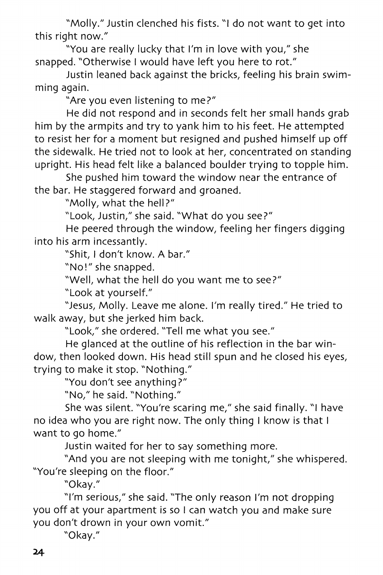"Molly." Justin clenched his fists. "I do not want to get into this right now."

"You are really lucky that I'm in love with you," she snapped. "Otherwise I would have left you here to rot."

Justin leaned back against the bricks, feeling his brain swimming again.

"Are you even listening to me?"

He did not respond and in seconds felt her small hands grab him by the armpits and try to yank him to his feet. He attempted to resist her for a moment but resigned and pushed himself up off the sidewalk. He tried not to look at her, concentrated on standing upright. His head felt like a balanced boulder trying to topple him.

She pushed him toward the window near the entrance of the bar. He staggered forward and groaned.

"Molly, what the hell?"

"Look, Justin," she said. "What do you see?"

He peered through the window, feeling her fingers digging into his arm incessantly.

"Shit, I don't know. A bar."

"No!" she snapped.

"Well, what the hell do you want me to see?"

"Look at yourself."

"Jesus, Molly. Leave me alone. I'm really tired." He tried to walk away, but she jerked him back.

"Look," she ordered. "Tell me what you see."

He glanced at the outline of his reflection in the bar window, then looked down. His head still spun and he closed his eyes, trying to make it stop. "Nothing."

"You don't see anything?"

"No," he said. "Nothing."

She was silent. "You're scaring me," she said finally. "I have no idea who you are right now. The only thing I know is that I want to go home."

Justin waited for her to say something more.

"And you are not sleeping with me tonight," she whispered. "You're sleeping on the floor."

"Okay."

"I'm serious," she said. "The only reason I'm not dropping you off at your apartment is so I can watch you and make sure you don't drown in your own vomit."

"Okay."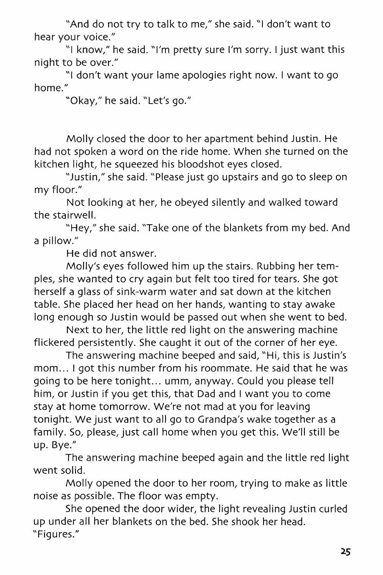"And do not try to talk to me," she said. "I don't want to hear your voice."

"I know/' he said. "I'm pretty sure I'm sorry. I just want this night to be over."

"I don't want your lame apologies right now. I want to go home."

"Okay," he said. "Let's go."

Molly closed the door to her apartment behind Justin. He had not spoken a word on the ride home. When she turned on the kitchen light, he squeezed his bloodshot eyes closed.

"Justin," she said. "Please just go upstairs and go to sleep on my floor."

Not looking at her, he obeyed silently and walked toward the stairwell.

"Hey," she said. "Take one of the blankets from my bed. And a pillow."

He did not answer.

Molly's eyes followed him up the stairs. Rubbing her temples, she wanted to cry again but felt too tired for tears. She got herself a glass of sink-warm water and sat down at the kitchen table. She placed her head on her hands, wanting to stay awake long enough so Justin would be passed out when she went to bed.

Next to her, the little red light on the answering machine flickered persistently. She caught it out of the corner of her eye.

The answering machine beeped and said, "Hi, this is Justin's mom... I got this number from his roommate. He said that he was going to be here tonight... umm, anyway. Could you please tell him, or Justin if you get this, that Dad and I want you to come stay at home tomorrow. We're not mad at you for leaving tonight. We just want to all go to Grandpa's wake together as a family. So, please, just call home when you get this. We'll still be up. Bye."

The answering machine beeped again and the little red light went solid.

Molly opened the door to her room, trying to make as little noise as possible. The floor was empty.

She opened the door wider, the light revealing Justin curled up under all her blankets on the bed. She shook her head. "Figures."